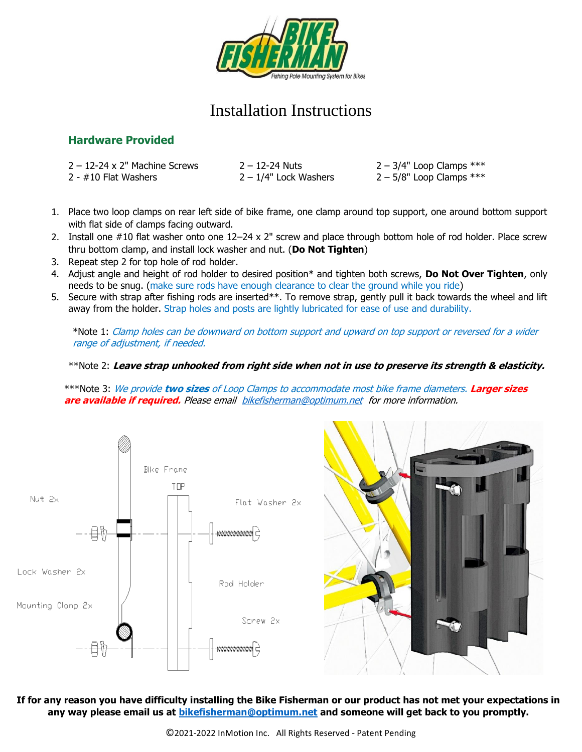

# Installation Instructions

## **Hardware Provided**

| $2 - 12 - 24 \times 2$ " Machine Screws | 2 – 12-24 Nuts        | $2 - 3/4"$ Loop Clamps $***$ |
|-----------------------------------------|-----------------------|------------------------------|
| $2$ - $\#10$ Flat Washers               | 2 – 1/4" Lock Washers | $2 - 5/8$ " Loop Clamps ***  |

- 1. Place two loop clamps on rear left side of bike frame, one clamp around top support, one around bottom support with flat side of clamps facing outward.
- 2. Install one #10 flat washer onto one 12–24 x 2" screw and place through bottom hole of rod holder. Place screw thru bottom clamp, and install lock washer and nut. (**Do Not Tighten**)
- 3. Repeat step 2 for top hole of rod holder.
- 4. Adjust angle and height of rod holder to desired position\* and tighten both screws, **Do Not Over Tighten**, only needs to be snug. (make sure rods have enough clearance to clear the ground while you ride)
- 5. Secure with strap after fishing rods are inserted\*\*. To remove strap, gently pull it back towards the wheel and lift away from the holder. Strap holes and posts are lightly lubricated for ease of use and durability.

\*Note 1: Clamp holes can be downward on bottom support and upward on top support or reversed for a wider range of adjustment, if needed.

#### \*\*Note 2: **Leave strap unhooked from right side when not in use to preserve its strength & elasticity.**

\*\*\*Note 3: We provide **two sizes** of Loop Clamps to accommodate most bike frame diameters. **Larger sizes are available if required.** Please email [bikefisherman@optimum.net](mailto:bikefisherman@optimum.net) for more information.



**If for any reason you have difficulty installing the Bike Fisherman or our product has not met your expectations in any way please email us at [bikefisherman@optimum.net](mailto:bikefisherman@optimum.net) and someone will get back to you promptly.**